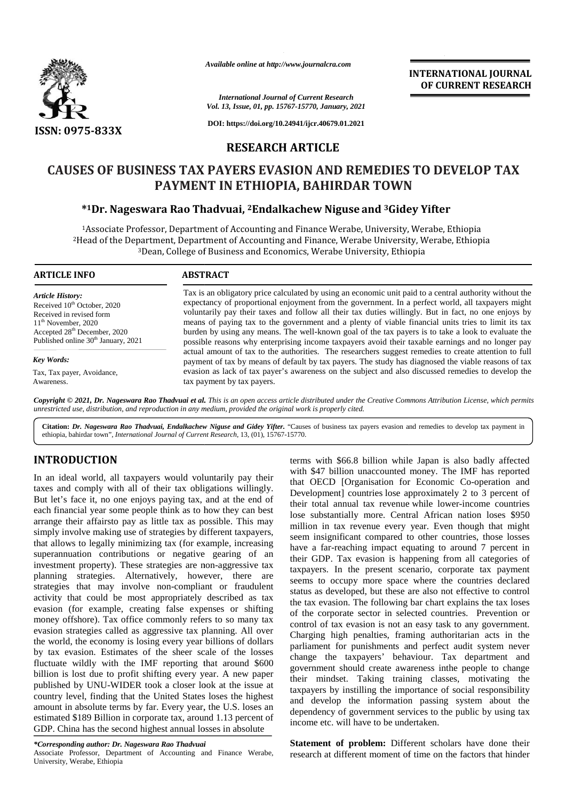

*Available online at http://www.journalcra.com*

### *International Journal of Current Research Vol. 13, Issue, 01, pp. 15767-15770, January, 2021*

**DOI: https://doi.org/10.24941/ijcr.40679.01.2021**

## **RESEARCH ARTICLE**

# **CAUSES OF BUSINESS TAX PAYERS EVASION AND REMEDIES TO DEVELOP TAX TAXPAYMENT IN ETHIOPIA, BAHIRDAR TOWN**

## **\* <sup>1</sup>Dr. Nageswara Rao Thadvuai, <sup>2</sup>Endalkachew Niguse and <sup>3</sup>Gidey Yifter Dr. Nageswara Thadvuai,Niguseand**

Associate Professor, Department of Accounting and Finance Werabe, University, Werabe, Ethiopia Head of the Department, Department of Accounting and Finance, Werabe University, Werabe, Ethiopia Dean, College of Business and Economics, Werabe University, Ethiopia <sup>1</sup>Associate Professor, Department of Accounting and Finance Werabe, University, Werabe, Ethiopia<br>Head of the Department, Department of Accounting and Finance, Werabe University, Werabe, Ethiopia<sup>3</sup>Dean, College of Busines

## **ARTICLE INFO ABSTRACT ARTICLE ABSTRACT**

*Article History:* Received 10<sup>th</sup> October, 2020 Received in revised form 11<sup>th</sup> November, 2020 Accepted 28<sup>th</sup> December, 2020 Published online 30<sup>th</sup> January, 2021

*Key Words:*

Tax, Tax payer, Avoidance, Awareness.

Tax is an obligatory price calculated by using an economic unit paid to a central authority without the expectancy of proportional enjoyment from the government. In a perfect world, all taxpayers might voluntarily pay their taxes and follow all their tax duties willingly. But in fact, no one enjoys by means of paying tax to the government and a plenty of viable financial units tries to limit its tax burden by using any means. The well-known goal of the tax payers is to take a look to evaluate the possible reasons why enterprising income taxpayers avoid their taxable earnings and no longer pay actual amount of tax to the authorities. The researchers suggest remedies to create attention to full payment of tax by means of default by tax payers. The study has diagnosed the viable reasons of tax evasion as lack of tax payer's awareness on the subject and also discussed remedies to develop the tax payment by tax payers. payers.is an obligatory price calculated by using an economic unit paid to a central authority without ctancy of proportional enjoyment from the government. In a perfect world, all taxpayers mi<br>ntarily pay their taxes and follow Available online at http://www.journalcra.com<br> **INTERNATIONAL**<br>
INTERNATIONAL THE INTERNATIONAL THE ENTRAPTENT RE<br>
You, 13, Issue, 01, pp. 15767-15770, January, 2021<br> **INTERNATIONAL THE ENTRAPTENT RESEARCH ARTICLE**<br> **EESEA** 

**Copyright © 2021, Dr. Nageswara Rao Thadvuai et al.** This is an open access article distributed under the Creative Commons Attribution License, which permits<br>unrestricted use, distribution, and reproduction in any medium, *unrestricted use,distribution, and reproduction in any medium, provided the original work is properly cited.*

Citation: Dr. Nageswara Rao Thadvuai, Endalkachew Niguse and Gidey Yifter. "Causes of business tax payers evasion and remedies to develop tax payment in ethiopia, bahirdar town", *International Journal of Current Research*, 13, (01), 15767-15770.

## **INTRODUCTION INTRODUCTION**

In an ideal world, all taxpayers would voluntarily pay their In an ideal world, all taxpayers would voluntarily pay their<br>taxes and comply with all of their tax obligations willingly. But let's face it, no one enjoys paying tax, and at the end of  $\overline{a}$ each financial year some people think as to how they can best arrange their affairsto pay as little tax as possible. This may simply involve making use of strategies by different taxpayers, that allows to legally minimizing tax (for example, increasing superannuation contributions or negative gearing of an investment property). These strategies are non-aggressive tax planning strategies. Alternatively, however, there are strategies that may involve non-compliant or fraudulent activity that could be most appropriately described as tax evasion (for example, creating false expenses or shifting money offshore). Tax office commonly refers to so many tax evasion strategies called as aggressive tax planning. All over the world, the economy is losing every year billions of dollars by tax evasion. Estimates of the sheer scale of the losses fluctuate wildly with the IMF reporting that around \$600 billion is lost due to profit shifting every year. A new paper published by UNU-WIDER took a closer look at the issue at country level, finding that the United States loses the highest amount in absolute terms by far. Every year, the U.S. loses an estimated \$189 Billion in corporate tax, around 1.13 percent of GDP. China has the second highest annual losses in absolute each financial year some people think as to how they can best<br>arrange their affairsto pay as little tax as possible. This may<br>simply involve making use of strategies by different taxpayers,<br>that allows to legally miminizin

Associate Professor, Department of Accounting and Finance Werabe, Associate University, Werabe, Ethiopia

terms with \$66.8 billion while Japan is also badly affected with \$47 billion unaccounted money. The IMF has reported that OECD [Organisation for Economic Co-operation and Development] countries lose approximately 2 to 3 percent of their total annual tax revenue while lower-income countries lose substantially more. Central African nation loses \$950 million in tax revenue every year. Even though that might seem insignificant compared to other countries, those losses have a far-reaching impact equating to around 7 percent in their GDP. Tax evasion is happening from all categories of taxpayers. In the present scenario, corporate tax payment seems to occupy more space where the countries declared status as developed, but these are also not effective to control the tax evasion. The following bar chart explains the tax loses of the corporate sector in selected countries. Prevention or control of tax evasion is not an easy task to any government. Charging high penalties, framing authoritarian acts in the parliament for punishments and perfect audit system never change the taxpayers' behaviour. Tax department and government should create awareness inthe people to change their mindset. Taking training classes, motivating the taxpayers by instilling the importance of social responsibility and develop the information passing system about the dependency of government services to the public by using tax income etc. will have to be undertaken. INTRODUCTION the state of the correction with \$67 billion which a fasto bally affected<br>
In an ideal word, all taxpayers would voluntarily pay their with SHZ billion unaccounted morey. The IMF has reported<br>
hates the same o occupy more space where the countries declared developed, but these are also not effective to control vasion. The following bar chart explains the tax loses proporate sector in selected countries. Prevention or f tax evasi THE SET IS A **EXERCT RESEARCH SET IS A CONSULTER CONSULTER CONSULTER CONSULTER CONSULTER CONSULTER CONSULTER CONSULTER CONSULTER CONSULTER CONSULTER CONSULTER CONSULTER CONSULTER CONSULTER CONSULTER CONSULTER CONSULTER CO Contributions exoting the contribution**  $\frac{1}{2}$ <br> **Contribution**  $\frac{1}{2}$ <br> **Contributions exoting the secondary and the secondary and the secondary and the secondary and**  $\frac{1}{2}$ **<br>
<b>Contribution Contributions exoting** 

**Statement of problem:** Different scholars have done their research at different moment of time on the factors that hinder

**INTERNATIONAL JOURNAL OF CURRENT RESEARCH**

*<sup>\*</sup>Corresponding author: Dr. Nageswara Rao Thadvuai \*Corresponding Thadvuai*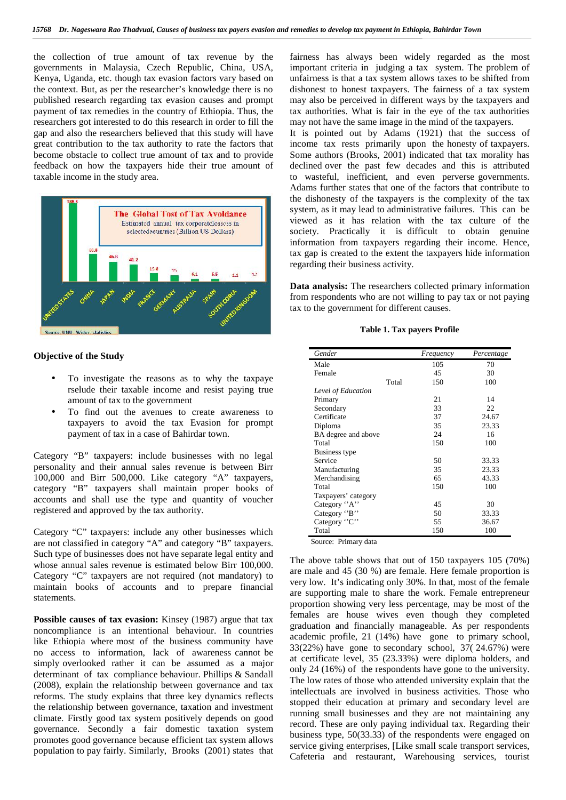the collection of true amount of tax revenue by the governments in Malaysia, Czech Republic, China, USA, Kenya, Uganda, etc. though tax evasion factors vary based on the context. But, as per the researcher's knowledge there is no published research regarding tax evasion causes and prompt payment of tax remedies in the country of Ethiopia. Thus, the researchers got interested to do this research in order to fill the gap and also the researchers believed that this study will have great contribution to the tax authority to rate the factors that become obstacle to collect true amount of tax and to provide feedback on how the taxpayers hide their true amount of taxable income in the study area.



### **Objective of the Study**

- To investigate the reasons as to why the taxpaye rselude their taxable income and resist paying true amount of tax to the government
- To find out the avenues to create awareness to taxpayers to avoid the tax Evasion for prompt payment of tax in a case of Bahirdar town.

Category "B" taxpayers: include businesses with no legal personality and their annual sales revenue is between Birr 100,000 and Birr 500,000. Like category "A" taxpayers, category "B" taxpayers shall maintain proper books of accounts and shall use the type and quantity of voucher registered and approved by the tax authority.

Category "C" taxpayers: include any other businesses which are not classified in category "A" and category "B" taxpayers. Such type of businesses does not have separate legal entity and whose annual sales revenue is estimated below Birr 100,000. Category "C" taxpayers are not required (not mandatory) to maintain books of accounts and to prepare financial statements.

**Possible causes of tax evasion:** Kinsey (1987) argue that tax noncompliance is an intentional behaviour. In countries like Ethiopia where most of the business community have no access to information, lack of awareness cannot be simply overlooked rather it can be assumed as a major determinant of tax compliance behaviour. Phillips & Sandall (2008), explain the relationship between governance and tax reforms. The study explains that three key dynamics reflects the relationship between governance, taxation and investment climate. Firstly good tax system positively depends on good governance. Secondly a fair domestic taxation system promotes good governance because efficient tax system allows population to pay fairly. Similarly, Brooks (2001) states that fairness has always been widely regarded as the most important criteria in judging a tax system. The problem of unfairness is that a tax system allows taxes to be shifted from dishonest to honest taxpayers. The fairness of a tax system may also be perceived in different ways by the taxpayers and tax authorities. What is fair in the eye of the tax authorities may not have the same image in the mind of the taxpayers.

It is pointed out by Adams (1921) that the success of income tax rests primarily upon the honesty of taxpayers. Some authors (Brooks, 2001) indicated that tax morality has declined over the past few decades and this is attributed to wasteful, inefficient, and even perverse governments. Adams further states that one of the factors that contribute to the dishonesty of the taxpayers is the complexity of the tax system, as it may lead to administrative failures. This can be viewed as it has relation with the tax culture of the society. Practically it is difficult to obtain genuine information from taxpayers regarding their income. Hence, tax gap is created to the extent the taxpayers hide information regarding their business activity.

**Data analysis:** The researchers collected primary information from respondents who are not willing to pay tax or not paying tax to the government for different causes.

### **Table 1. Tax payers Profile**

| Gender              | Frequency | Percentage |
|---------------------|-----------|------------|
| Male                | 105       | 70         |
| Female              | 45        | 30         |
| Total               | 150       | 100        |
| Level of Education  |           |            |
| Primary             | 21        | 14         |
| Secondary           | 33        | 22         |
| Certificate         | 37        | 24.67      |
| Diploma             | 35        | 23.33      |
| BA degree and above | 24        | 16         |
| Total               | 150       | 100        |
| Business type       |           |            |
| Service             | 50        | 33.33      |
| Manufacturing       | 35        | 23.33      |
| Merchandising       | 65        | 43.33      |
| Total               | 150       | 100        |
| Taxpayers' category |           |            |
| Category "A"        | 45        | 30         |
| Category "B"        | 50        | 33.33      |
| Category "C"        | 55        | 36.67      |
| Total               | 150       | 100        |

Source: Primary data

The above table shows that out of 150 taxpayers 105 (70%) are male and 45 (30 %) are female. Here female proportion is very low. It's indicating only 30%. In that, most of the female are supporting male to share the work. Female entrepreneur proportion showing very less percentage, may be most of the females are house wives even though they completed graduation and financially manageable. As per respondents academic profile, 21 (14%) have gone to primary school, 33(22%) have gone to secondary school, 37( 24.67%) were at certificate level, 35 (23.33%) were diploma holders, and only 24 (16%) of the respondents have gone to the university. The low rates of those who attended university explain that the intellectuals are involved in business activities. Those who stopped their education at primary and secondary level are running small businesses and they are not maintaining any record. These are only paying individual tax. Regarding their business type, 50(33.33) of the respondents were engaged on service giving enterprises, [Like small scale transport services, Cafeteria and restaurant, Warehousing services, tourist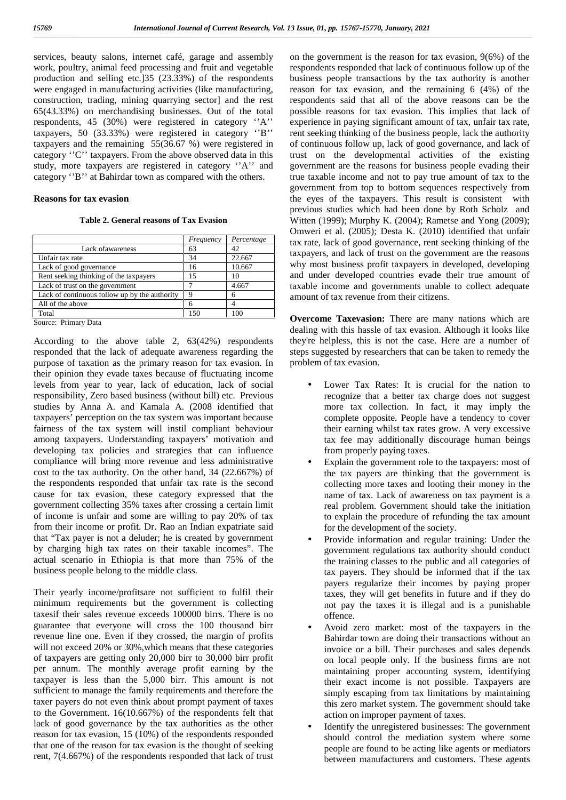services, beauty salons, internet café, garage and assembly work, poultry, animal feed processing and fruit and vegetable production and selling etc.]35 (23.33%) of the respondents were engaged in manufacturing activities (like manufacturing, construction, trading, mining quarrying sector] and the rest 65(43.33%) on merchandising businesses. Out of the total respondents, 45 (30%) were registered in category ''A'' taxpayers, 50 (33.33%) were registered in category ''B'' taxpayers and the remaining 55(36.67 %) were registered in category ''C'' taxpayers. From the above observed data in this study, more taxpayers are registered in category ''A'' and category ''B'' at Bahirdar town as compared with the others.

## **Reasons for tax evasion**

**Table 2. General reasons of Tax Evasion**

|                                               | Frequency | Percentage |  |
|-----------------------------------------------|-----------|------------|--|
| Lack of awareness                             | 63        | 42         |  |
| Unfair tax rate                               | 34        | 22.667     |  |
| Lack of good governance                       | 16        | 10.667     |  |
| Rent seeking thinking of the taxpayers        | 15        |            |  |
| Lack of trust on the government               |           | 4.667      |  |
| Lack of continuous follow up by the authority | a         | 6          |  |
| All of the above                              | 6         |            |  |
| Total                                         | 150       | 100        |  |

Source: Primary Data

According to the above table 2, 63(42%) respondents responded that the lack of adequate awareness regarding the purpose of taxation as the primary reason for tax evasion. In their opinion they evade taxes because of fluctuating income levels from year to year, lack of education, lack of social responsibility, Zero based business (without bill) etc. Previous studies by Anna A. and Kamala A. (2008 identified that taxpayers' perception on the tax system was important because fairness of the tax system will instil compliant behaviour among taxpayers. Understanding taxpayers' motivation and developing tax policies and strategies that can influence compliance will bring more revenue and less administrative cost to the tax authority. On the other hand, 34 (22.667%) of the respondents responded that unfair tax rate is the second cause for tax evasion, these category expressed that the government collecting 35% taxes after crossing a certain limit of income is unfair and some are willing to pay 20% of tax from their income or profit. Dr. Rao an Indian expatriate said that "Tax payer is not a deluder; he is created by government by charging high tax rates on their taxable incomes". The actual scenario in Ethiopia is that more than 75% of the business people belong to the middle class.

Their yearly income/profitsare not sufficient to fulfil their minimum requirements but the government is collecting taxesif their sales revenue exceeds 100000 birrs. There is no guarantee that everyone will cross the 100 thousand birr revenue line one. Even if they crossed, the margin of profits will not exceed 20% or 30%,which means that these categories of taxpayers are getting only 20,000 birr to 30,000 birr profit per annum. The monthly average profit earning by the taxpayer is less than the 5,000 birr. This amount is not sufficient to manage the family requirements and therefore the taxer payers do not even think about prompt payment of taxes to the Government. 16(10.667%) of the respondents felt that lack of good governance by the tax authorities as the other reason for tax evasion, 15 (10%) of the respondents responded that one of the reason for tax evasion is the thought of seeking rent, 7(4.667%) of the respondents responded that lack of trust

on the government is the reason for tax evasion, 9(6%) of the respondents responded that lack of continuous follow up of the business people transactions by the tax authority is another reason for tax evasion, and the remaining 6 (4%) of the respondents said that all of the above reasons can be the possible reasons for tax evasion. This implies that lack of experience in paying significant amount of tax, unfair tax rate, rent seeking thinking of the business people, lack the authority of continuous follow up, lack of good governance, and lack of trust on the developmental activities of the existing government are the reasons for business people evading their true taxable income and not to pay true amount of tax to the government from top to bottom sequences respectively from the eyes of the taxpayers. This result is consistent with previous studies which had been done by Roth Scholz and Witten (1999); Murphy K. (2004); Rametse and Yong (2009); Omweri et al. (2005); Desta K. (2010) identified that unfair tax rate, lack of good governance, rent seeking thinking of the taxpayers, and lack of trust on the government are the reasons why most business profit taxpayers in developed, developing and under developed countries evade their true amount of taxable income and governments unable to collect adequate amount of tax revenue from their citizens.

**Overcome Taxevasion:** There are many nations which are dealing with this hassle of tax evasion. Although it looks like they're helpless, this is not the case. Here are a number of steps suggested by researchers that can be taken to remedy the problem of tax evasion.

- Lower Tax Rates: It is crucial for the nation to recognize that a better tax charge does not suggest more tax collection. In fact, it may imply the complete opposite. People have a tendency to cover their earning whilst tax rates grow. A very excessive tax fee may additionally discourage human beings from properly paying taxes.
- Explain the government role to the taxpayers: most of the tax payers are thinking that the government is collecting more taxes and looting their money in the name of tax. Lack of awareness on tax payment is a real problem. Government should take the initiation to explain the procedure of refunding the tax amount for the development of the society.
- Provide information and regular training: Under the government regulations tax authority should conduct the training classes to the public and all categories of tax payers. They should be informed that if the tax payers regularize their incomes by paying proper taxes, they will get benefits in future and if they do not pay the taxes it is illegal and is a punishable offence.
- Avoid zero market: most of the taxpayers in the Bahirdar town are doing their transactions without an invoice or a bill. Their purchases and sales depends on local people only. If the business firms are not maintaining proper accounting system, identifying their exact income is not possible. Taxpayers are simply escaping from tax limitations by maintaining this zero market system. The government should take action on improper payment of taxes.
- Identify the unregistered businesses: The government should control the mediation system where some people are found to be acting like agents or mediators between manufacturers and customers. These agents